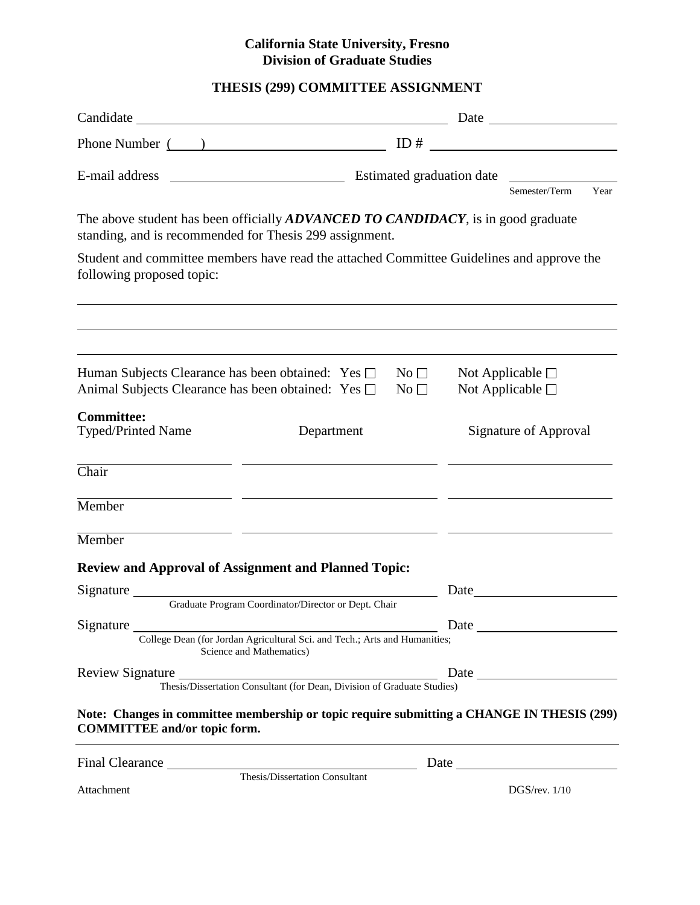## **California State University, Fresno Division of Graduate Studies**

# **THESIS (299) COMMITTEE ASSIGNMENT**

| Phone Number $\qquad)$ $ID \#$ $\qquad \qquad$                                                                                                                         |                           |                              |      |                          |      |
|------------------------------------------------------------------------------------------------------------------------------------------------------------------------|---------------------------|------------------------------|------|--------------------------|------|
| E-mail address                                                                                                                                                         | Estimated graduation date |                              |      | Semester/Term            | Year |
| The above student has been officially <b>ADVANCED TO CANDIDACY</b> , is in good graduate<br>standing, and is recommended for Thesis 299 assignment.                    |                           |                              |      |                          |      |
| Student and committee members have read the attached Committee Guidelines and approve the<br>following proposed topic:                                                 |                           |                              |      |                          |      |
| Human Subjects Clearance has been obtained: Yes □                                                                                                                      |                           | $\rm No\,\Pi$                |      | Not Applicable $\square$ |      |
| Animal Subjects Clearance has been obtained: Yes □<br>No <sub>1</sub>                                                                                                  |                           | Not Applicable $\square$     |      |                          |      |
| <b>Committee:</b><br><b>Typed/Printed Name</b><br>Department                                                                                                           |                           | <b>Signature of Approval</b> |      |                          |      |
| Chair                                                                                                                                                                  |                           |                              |      |                          |      |
| Member                                                                                                                                                                 |                           |                              |      |                          |      |
| Member                                                                                                                                                                 |                           |                              |      |                          |      |
| Review and Approval of Assignment and Planned Topic:                                                                                                                   |                           |                              |      |                          |      |
| Signature<br>Graduate Program Coordinator/Director or Dept. Chair                                                                                                      |                           |                              | Date |                          |      |
|                                                                                                                                                                        |                           |                              |      |                          |      |
| Signature<br>College Dean (for Jordan Agricultural Sci. and Tech.; Arts and Humanities;<br>Science and Mathematics)                                                    |                           |                              |      |                          |      |
| Review Signature<br>Thesis/Dissertation Consultant (for Dean, Division of Graduate Studies)<br>Thesis/Dissertation Consultant (for Dean, Division of Graduate Studies) |                           |                              |      |                          |      |
| Note: Changes in committee membership or topic require submitting a CHANGE IN THESIS (299)<br><b>COMMITTEE and/or topic form.</b>                                      |                           |                              |      |                          |      |
| Final Clearance Thesis/Dissertation Consultant                                                                                                                         |                           |                              |      |                          |      |
| Attachment                                                                                                                                                             |                           |                              |      | $DGS$ /rev. $1/10$       |      |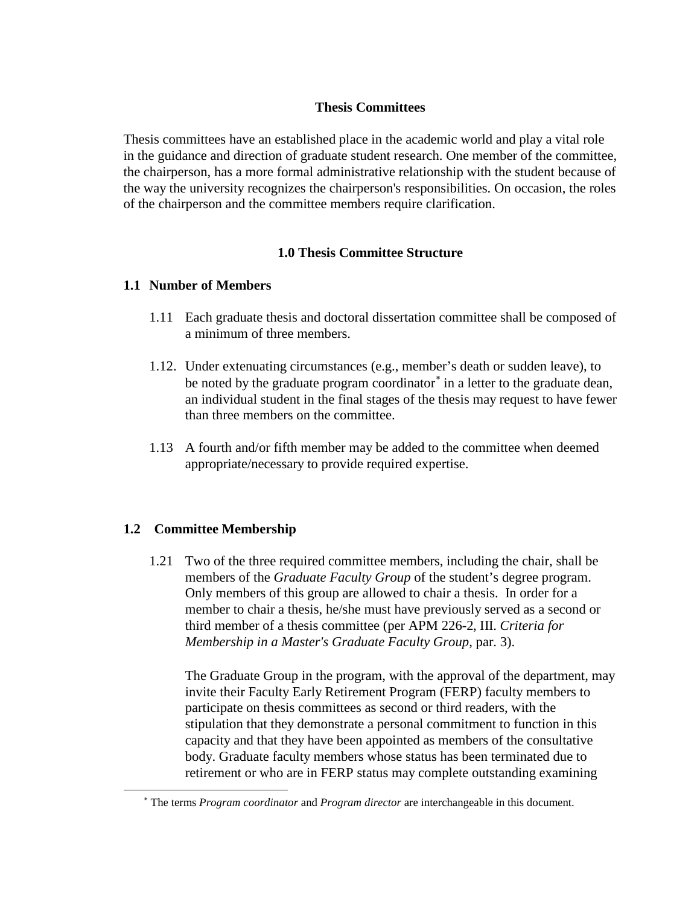#### **Thesis Committees**

Thesis committees have an established place in the academic world and play a vital role in the guidance and direction of graduate student research. One member of the committee, the chairperson, has a more formal administrative relationship with the student because of the way the university recognizes the chairperson's responsibilities. On occasion, the roles of the chairperson and the committee members require clarification.

## **1.0 Thesis Committee Structure**

#### **1.1 Number of Members**

- 1.11 Each graduate thesis and doctoral dissertation committee shall be composed of a minimum of three members.
- 1.12. Under extenuating circumstances (e.g., member's death or sudden leave), to be noted by the graduate program coordinator<sup>[∗](#page-1-0)</sup> in a letter to the graduate dean, an individual student in the final stages of the thesis may request to have fewer than three members on the committee.
- 1.13 A fourth and/or fifth member may be added to the committee when deemed appropriate/necessary to provide required expertise.

## **1.2 Committee Membership**

<span id="page-1-0"></span> $\overline{a}$ 

1.21 Two of the three required committee members, including the chair, shall be members of the *Graduate Faculty Group* of the student's degree program. Only members of this group are allowed to chair a thesis. In order for a member to chair a thesis, he/she must have previously served as a second or third member of a thesis committee (per APM 226-2, III. *Criteria for Membership in a Master's Graduate Faculty Group*, par. 3).

The Graduate Group in the program, with the approval of the department, may invite their Faculty Early Retirement Program (FERP) faculty members to participate on thesis committees as second or third readers, with the stipulation that they demonstrate a personal commitment to function in this capacity and that they have been appointed as members of the consultative body. Graduate faculty members whose status has been terminated due to retirement or who are in FERP status may complete outstanding examining

<sup>∗</sup> The terms *Program coordinator* and *Program director* are interchangeable in this document.